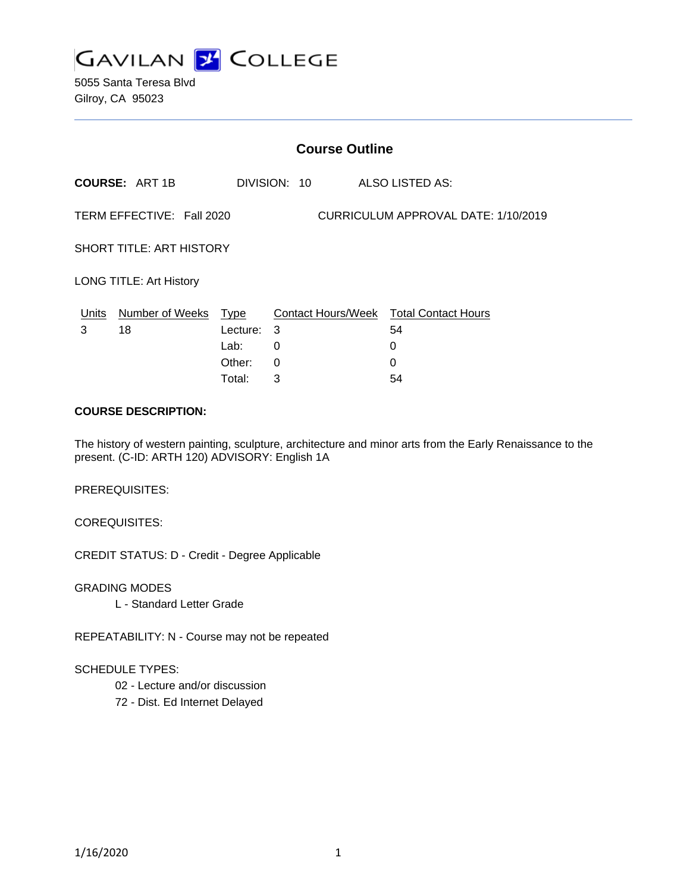

5055 Santa Teresa Blvd Gilroy, CA 95023

| <b>Course Outline</b>                                            |                                  |            |              |                                              |  |
|------------------------------------------------------------------|----------------------------------|------------|--------------|----------------------------------------------|--|
|                                                                  | <b>COURSE: ART 1B</b>            |            | DIVISION: 10 | ALSO LISTED AS:                              |  |
| TERM EFFECTIVE: Fall 2020<br>CURRICULUM APPROVAL DATE: 1/10/2019 |                                  |            |              |                                              |  |
| <b>SHORT TITLE: ART HISTORY</b>                                  |                                  |            |              |                                              |  |
| <b>LONG TITLE: Art History</b>                                   |                                  |            |              |                                              |  |
| 3                                                                | Units Number of Weeks Type<br>18 | Lecture: 3 |              | Contact Hours/Week Total Contact Hours<br>54 |  |
|                                                                  |                                  | Lab:       | 0            | 0                                            |  |
|                                                                  |                                  | Other:     | 0            | 0                                            |  |
|                                                                  |                                  | Total:     | 3            | 54                                           |  |

#### **COURSE DESCRIPTION:**

The history of western painting, sculpture, architecture and minor arts from the Early Renaissance to the present. (C-ID: ARTH 120) ADVISORY: English 1A

PREREQUISITES:

COREQUISITES:

CREDIT STATUS: D - Credit - Degree Applicable

GRADING MODES

L - Standard Letter Grade

REPEATABILITY: N - Course may not be repeated

## SCHEDULE TYPES:

- 02 Lecture and/or discussion
- 72 Dist. Ed Internet Delayed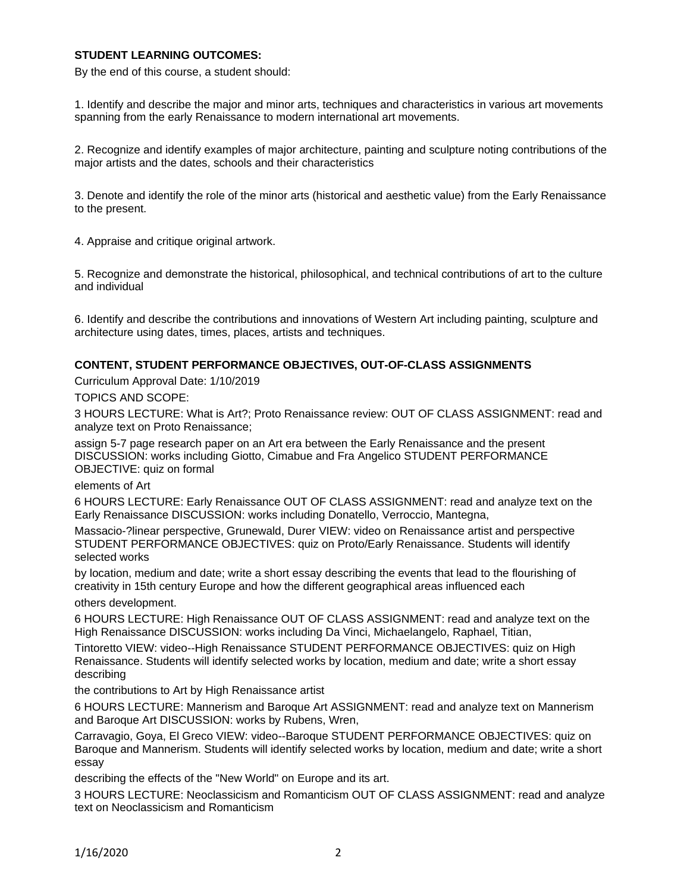## **STUDENT LEARNING OUTCOMES:**

By the end of this course, a student should:

1. Identify and describe the major and minor arts, techniques and characteristics in various art movements spanning from the early Renaissance to modern international art movements.

2. Recognize and identify examples of major architecture, painting and sculpture noting contributions of the major artists and the dates, schools and their characteristics

3. Denote and identify the role of the minor arts (historical and aesthetic value) from the Early Renaissance to the present.

4. Appraise and critique original artwork.

5. Recognize and demonstrate the historical, philosophical, and technical contributions of art to the culture and individual

6. Identify and describe the contributions and innovations of Western Art including painting, sculpture and architecture using dates, times, places, artists and techniques.

#### **CONTENT, STUDENT PERFORMANCE OBJECTIVES, OUT-OF-CLASS ASSIGNMENTS**

Curriculum Approval Date: 1/10/2019

TOPICS AND SCOPE:

3 HOURS LECTURE: What is Art?; Proto Renaissance review: OUT OF CLASS ASSIGNMENT: read and analyze text on Proto Renaissance;

assign 5-7 page research paper on an Art era between the Early Renaissance and the present DISCUSSION: works including Giotto, Cimabue and Fra Angelico STUDENT PERFORMANCE OBJECTIVE: quiz on formal

elements of Art

6 HOURS LECTURE: Early Renaissance OUT OF CLASS ASSIGNMENT: read and analyze text on the Early Renaissance DISCUSSION: works including Donatello, Verroccio, Mantegna,

Massacio-?linear perspective, Grunewald, Durer VIEW: video on Renaissance artist and perspective STUDENT PERFORMANCE OBJECTIVES: quiz on Proto/Early Renaissance. Students will identify selected works

by location, medium and date; write a short essay describing the events that lead to the flourishing of creativity in 15th century Europe and how the different geographical areas influenced each others development.

6 HOURS LECTURE: High Renaissance OUT OF CLASS ASSIGNMENT: read and analyze text on the High Renaissance DISCUSSION: works including Da Vinci, Michaelangelo, Raphael, Titian,

Tintoretto VIEW: video--High Renaissance STUDENT PERFORMANCE OBJECTIVES: quiz on High Renaissance. Students will identify selected works by location, medium and date; write a short essay describing

the contributions to Art by High Renaissance artist

6 HOURS LECTURE: Mannerism and Baroque Art ASSIGNMENT: read and analyze text on Mannerism and Baroque Art DISCUSSION: works by Rubens, Wren,

Carravagio, Goya, El Greco VIEW: video--Baroque STUDENT PERFORMANCE OBJECTIVES: quiz on Baroque and Mannerism. Students will identify selected works by location, medium and date; write a short essay

describing the effects of the "New World" on Europe and its art.

3 HOURS LECTURE: Neoclassicism and Romanticism OUT OF CLASS ASSIGNMENT: read and analyze text on Neoclassicism and Romanticism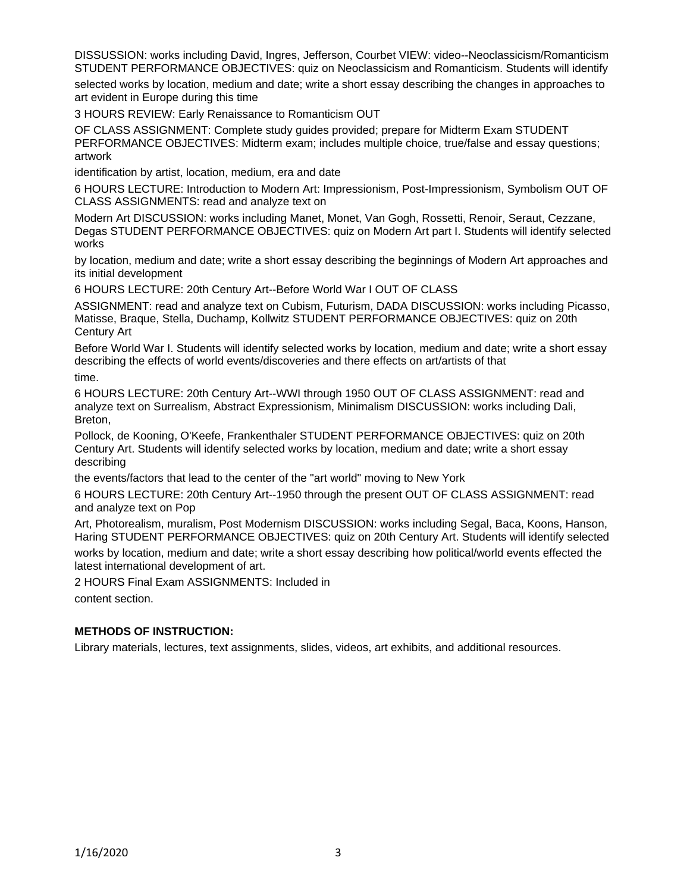DISSUSSION: works including David, Ingres, Jefferson, Courbet VIEW: video--Neoclassicism/Romanticism STUDENT PERFORMANCE OBJECTIVES: quiz on Neoclassicism and Romanticism. Students will identify

selected works by location, medium and date; write a short essay describing the changes in approaches to art evident in Europe during this time

3 HOURS REVIEW: Early Renaissance to Romanticism OUT

OF CLASS ASSIGNMENT: Complete study guides provided; prepare for Midterm Exam STUDENT PERFORMANCE OBJECTIVES: Midterm exam; includes multiple choice, true/false and essay questions; artwork

identification by artist, location, medium, era and date

6 HOURS LECTURE: Introduction to Modern Art: Impressionism, Post-Impressionism, Symbolism OUT OF CLASS ASSIGNMENTS: read and analyze text on

Modern Art DISCUSSION: works including Manet, Monet, Van Gogh, Rossetti, Renoir, Seraut, Cezzane, Degas STUDENT PERFORMANCE OBJECTIVES: quiz on Modern Art part I. Students will identify selected works

by location, medium and date; write a short essay describing the beginnings of Modern Art approaches and its initial development

6 HOURS LECTURE: 20th Century Art--Before World War I OUT OF CLASS

ASSIGNMENT: read and analyze text on Cubism, Futurism, DADA DISCUSSION: works including Picasso, Matisse, Braque, Stella, Duchamp, Kollwitz STUDENT PERFORMANCE OBJECTIVES: quiz on 20th Century Art

Before World War I. Students will identify selected works by location, medium and date; write a short essay describing the effects of world events/discoveries and there effects on art/artists of that time.

6 HOURS LECTURE: 20th Century Art--WWI through 1950 OUT OF CLASS ASSIGNMENT: read and analyze text on Surrealism, Abstract Expressionism, Minimalism DISCUSSION: works including Dali, Breton,

Pollock, de Kooning, O'Keefe, Frankenthaler STUDENT PERFORMANCE OBJECTIVES: quiz on 20th Century Art. Students will identify selected works by location, medium and date; write a short essay describing

the events/factors that lead to the center of the "art world" moving to New York

6 HOURS LECTURE: 20th Century Art--1950 through the present OUT OF CLASS ASSIGNMENT: read and analyze text on Pop

Art, Photorealism, muralism, Post Modernism DISCUSSION: works including Segal, Baca, Koons, Hanson, Haring STUDENT PERFORMANCE OBJECTIVES: quiz on 20th Century Art. Students will identify selected works by location, medium and date; write a short essay describing how political/world events effected the

latest international development of art. 2 HOURS Final Exam ASSIGNMENTS: Included in

content section.

## **METHODS OF INSTRUCTION:**

Library materials, lectures, text assignments, slides, videos, art exhibits, and additional resources.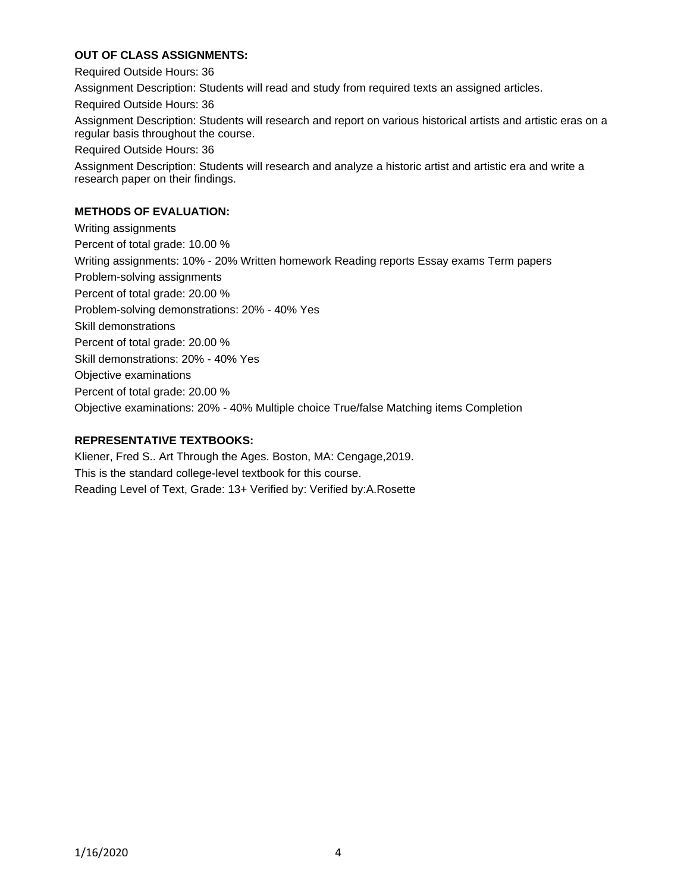# **OUT OF CLASS ASSIGNMENTS:**

Required Outside Hours: 36 Assignment Description: Students will read and study from required texts an assigned articles. Required Outside Hours: 36 Assignment Description: Students will research and report on various historical artists and artistic eras on a regular basis throughout the course. Required Outside Hours: 36 Assignment Description: Students will research and analyze a historic artist and artistic era and write a research paper on their findings.

## **METHODS OF EVALUATION:**

Writing assignments Percent of total grade: 10.00 % Writing assignments: 10% - 20% Written homework Reading reports Essay exams Term papers Problem-solving assignments Percent of total grade: 20.00 % Problem-solving demonstrations: 20% - 40% Yes Skill demonstrations Percent of total grade: 20.00 % Skill demonstrations: 20% - 40% Yes Objective examinations Percent of total grade: 20.00 % Objective examinations: 20% - 40% Multiple choice True/false Matching items Completion

# **REPRESENTATIVE TEXTBOOKS:**

Kliener, Fred S.. Art Through the Ages. Boston, MA: Cengage,2019. This is the standard college-level textbook for this course. Reading Level of Text, Grade: 13+ Verified by: Verified by:A.Rosette